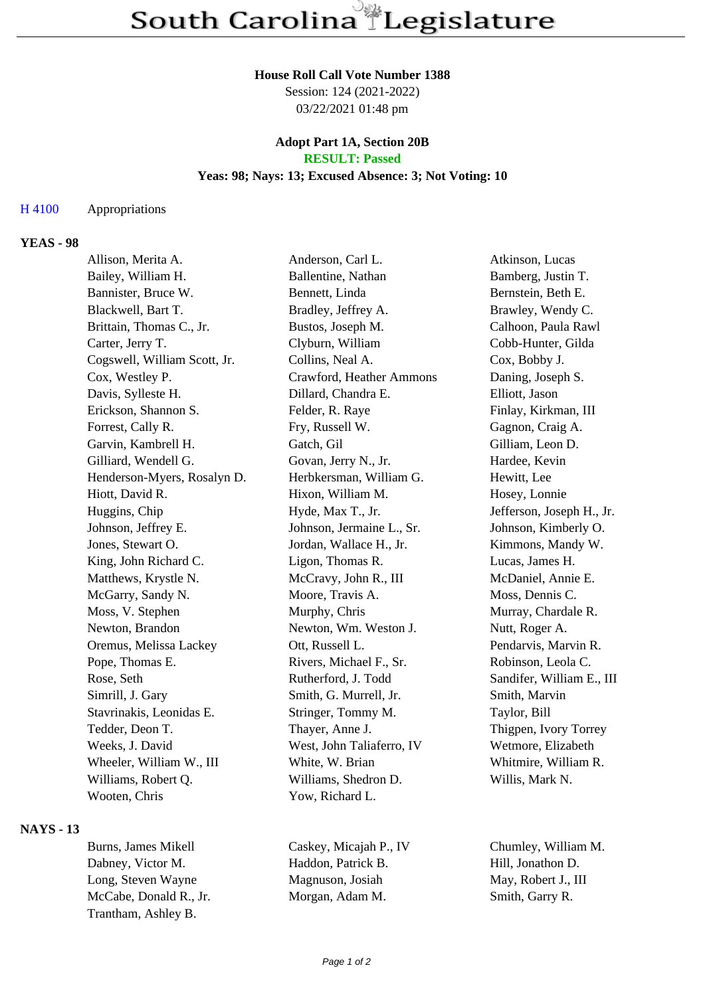#### **House Roll Call Vote Number 1388**

Session: 124 (2021-2022) 03/22/2021 01:48 pm

### **Adopt Part 1A, Section 20B RESULT: Passed**

### **Yeas: 98; Nays: 13; Excused Absence: 3; Not Voting: 10**

### H 4100 Appropriations

## **YEAS - 98**

| Allison, Merita A.           | Anderson, Carl L.         | Atkinson, Lucas           |
|------------------------------|---------------------------|---------------------------|
| Bailey, William H.           | Ballentine, Nathan        | Bamberg, Justin T.        |
| Bannister, Bruce W.          | Bennett, Linda            | Bernstein, Beth E.        |
| Blackwell, Bart T.           | Bradley, Jeffrey A.       | Brawley, Wendy C.         |
| Brittain, Thomas C., Jr.     | Bustos, Joseph M.         | Calhoon, Paula Rawl       |
| Carter, Jerry T.             | Clyburn, William          | Cobb-Hunter, Gilda        |
| Cogswell, William Scott, Jr. | Collins, Neal A.          | Cox, Bobby J.             |
| Cox, Westley P.              | Crawford, Heather Ammons  | Daning, Joseph S.         |
| Davis, Sylleste H.           | Dillard, Chandra E.       | Elliott, Jason            |
| Erickson, Shannon S.         | Felder, R. Raye           | Finlay, Kirkman, III      |
| Forrest, Cally R.            | Fry, Russell W.           | Gagnon, Craig A.          |
| Garvin, Kambrell H.          | Gatch, Gil                | Gilliam, Leon D.          |
| Gilliard, Wendell G.         | Govan, Jerry N., Jr.      | Hardee, Kevin             |
| Henderson-Myers, Rosalyn D.  | Herbkersman, William G.   | Hewitt, Lee               |
| Hiott, David R.              | Hixon, William M.         | Hosey, Lonnie             |
| Huggins, Chip                | Hyde, Max T., Jr.         | Jefferson, Joseph H., Jr. |
| Johnson, Jeffrey E.          | Johnson, Jermaine L., Sr. | Johnson, Kimberly O.      |
| Jones, Stewart O.            | Jordan, Wallace H., Jr.   | Kimmons, Mandy W.         |
| King, John Richard C.        | Ligon, Thomas R.          | Lucas, James H.           |
| Matthews, Krystle N.         | McCravy, John R., III     | McDaniel, Annie E.        |
| McGarry, Sandy N.            | Moore, Travis A.          | Moss, Dennis C.           |
| Moss, V. Stephen             | Murphy, Chris             | Murray, Chardale R.       |
| Newton, Brandon              | Newton, Wm. Weston J.     | Nutt, Roger A.            |
| Oremus, Melissa Lackey       | Ott, Russell L.           | Pendarvis, Marvin R.      |
| Pope, Thomas E.              | Rivers, Michael F., Sr.   | Robinson, Leola C.        |
| Rose, Seth                   | Rutherford, J. Todd       | Sandifer, William E., III |
| Simrill, J. Gary             | Smith, G. Murrell, Jr.    | Smith, Marvin             |
| Stavrinakis, Leonidas E.     | Stringer, Tommy M.        | Taylor, Bill              |
| Tedder, Deon T.              | Thayer, Anne J.           | Thigpen, Ivory Torrey     |
| Weeks, J. David              | West, John Taliaferro, IV | Wetmore, Elizabeth        |
| Wheeler, William W., III     | White, W. Brian           | Whitmire, William R.      |
| Williams, Robert Q.          | Williams, Shedron D.      | Willis, Mark N.           |
| Wooten, Chris                | Yow, Richard L.           |                           |
|                              |                           |                           |

## **NAYS - 13**

Burns, James Mikell Caskey, Micajah P., IV Chumley, William M. Dabney, Victor M. Haddon, Patrick B. Hill, Jonathon D. Long, Steven Wayne Magnuson, Josiah May, Robert J., III McCabe, Donald R., Jr. Morgan, Adam M. Smith, Garry R. Trantham, Ashley B.